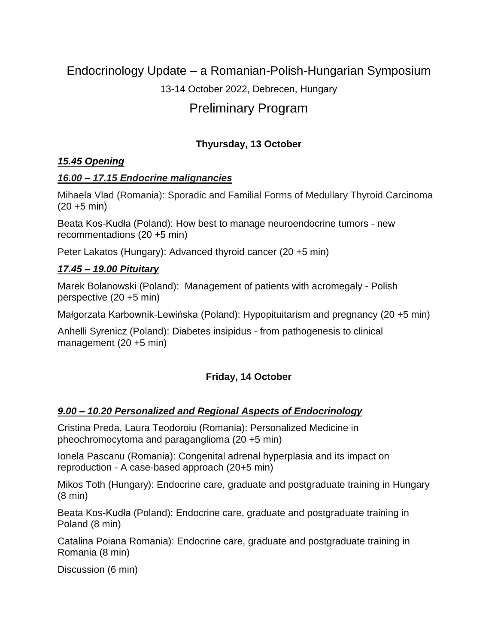# Endocrinology Update – a Romanian-Polish-Hungarian Symposium

## 13-14 October 2022, Debrecen, Hungary

# Preliminary Program

## **Thyursday, 13 October**

#### *15.45 Opening*

#### *16.00 – 17.15 Endocrine malignancies*

Mihaela Vlad (Romania): Sporadic and Familial Forms of Medullary Thyroid Carcinoma  $(20 + 5 \text{ min})$ 

Beata Kos-Kudła (Poland): How best to manage neuroendocrine tumors - new recommentadions (20 +5 min)

Peter Lakatos (Hungary): Advanced thyroid cancer (20 +5 min)

#### *17.45 – 19.00 Pituitary*

Marek Bolanowski (Poland): Management of patients with acromegaly - Polish perspective (20 +5 min)

Małgorzata Karbownik-Lewińska (Poland): Hypopituitarism and pregnancy (20 +5 min)

Anhelli Syrenicz (Poland): Diabetes insipidus - from pathogenesis to clinical management (20 +5 min)

## **Friday, 14 October**

## *9.00 – 10.20 Personalized and Regional Aspects of Endocrinology*

Cristina Preda, Laura Teodoroiu (Romania): Personalized Medicine in pheochromocytoma and paraganglioma (20 +5 min)

Ionela Pascanu (Romania): Congenital adrenal hyperplasia and its impact on reproduction - A case-based approach (20+5 min)

Mikos Toth (Hungary): Endocrine care, graduate and postgraduate training in Hungary (8 min)

Beata Kos-Kudła (Poland): Endocrine care, graduate and postgraduate training in Poland (8 min)

Catalina Poiana Romania): Endocrine care, graduate and postgraduate training in Romania (8 min)

Discussion (6 min)